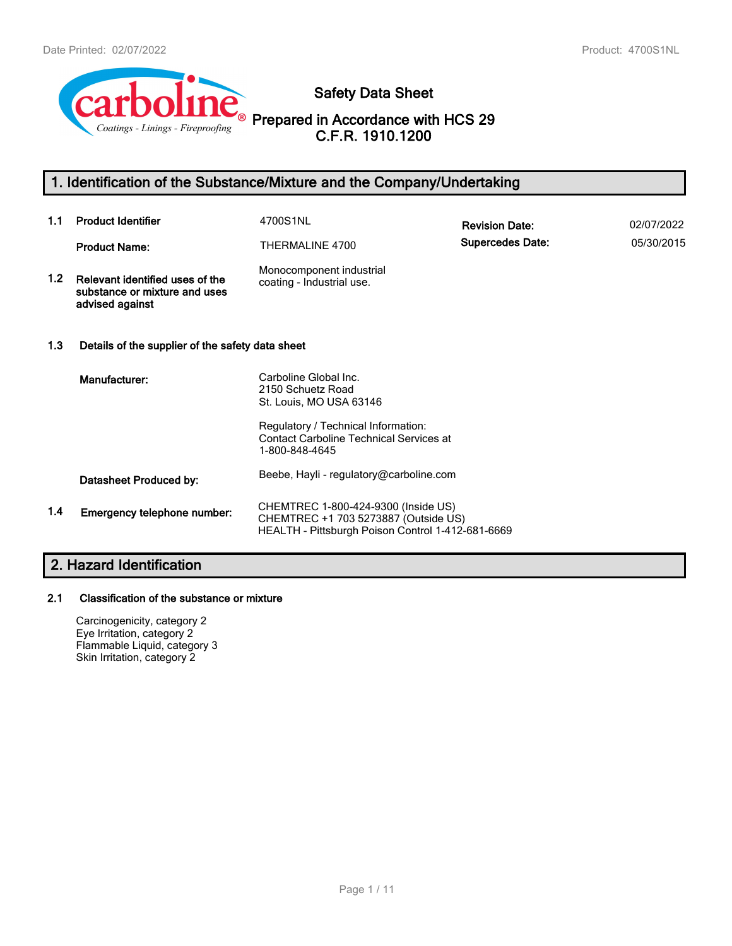

**Safety Data Sheet**

**Prepared in Accordance with HCS 29 C.F.R. 1910.1200**

# **1. Identification of the Substance/Mixture and the Company/Undertaking**

| 1.1              | <b>Product Identifier</b>                                                           | 4700S1NL                                                                                                                         | <b>Revision Date:</b>   | 02/07/2022 |
|------------------|-------------------------------------------------------------------------------------|----------------------------------------------------------------------------------------------------------------------------------|-------------------------|------------|
|                  | <b>Product Name:</b>                                                                | THERMALINE 4700                                                                                                                  | <b>Supercedes Date:</b> | 05/30/2015 |
| 1.2 <sub>1</sub> | Relevant identified uses of the<br>substance or mixture and uses<br>advised against | Monocomponent industrial<br>coating - Industrial use.                                                                            |                         |            |
| 1.3              | Details of the supplier of the safety data sheet                                    |                                                                                                                                  |                         |            |
|                  | Manufacturer:                                                                       | Carboline Global Inc.<br>2150 Schuetz Road<br>St. Louis, MO USA 63146                                                            |                         |            |
|                  |                                                                                     | Regulatory / Technical Information:<br><b>Contact Carboline Technical Services at</b><br>1-800-848-4645                          |                         |            |
|                  | Datasheet Produced by:                                                              | Beebe, Hayli - regulatory@carboline.com                                                                                          |                         |            |
| 1.4              | Emergency telephone number:                                                         | CHEMTREC 1-800-424-9300 (Inside US)<br>CHEMTREC +1 703 5273887 (Outside US)<br>HEALTH - Pittsburgh Poison Control 1-412-681-6669 |                         |            |

# **2. Hazard Identification**

## **2.1 Classification of the substance or mixture**

Carcinogenicity, category 2 Eye Irritation, category 2 Flammable Liquid, category 3 Skin Irritation, category 2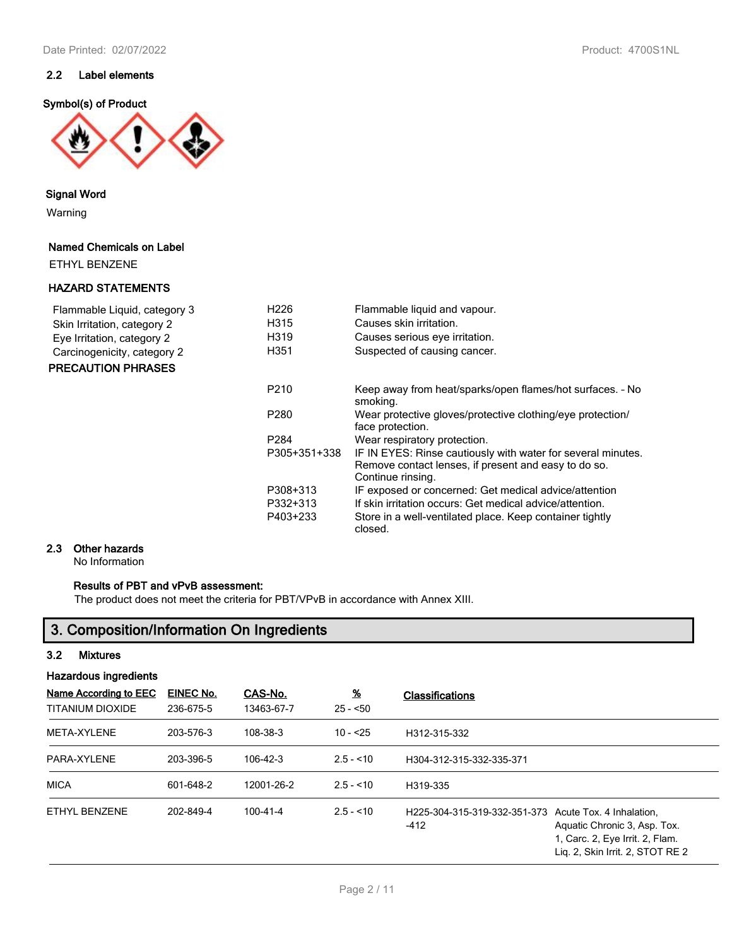## **2.2 Label elements**

## **Symbol(s) of Product**



**Signal Word**

Warning

## **Named Chemicals on Label**

ETHYL BENZENE

## **HAZARD STATEMENTS**

| Flammable Liquid, category 3<br>Skin Irritation, category 2<br>Eye Irritation, category 2<br>Carcinogenicity, category 2<br><b>PRECAUTION PHRASES</b> | H <sub>226</sub><br>H315<br>H319<br>H351 | Flammable liquid and vapour.<br>Causes skin irritation.<br>Causes serious eye irritation.<br>Suspected of causing cancer.                                                                |
|-------------------------------------------------------------------------------------------------------------------------------------------------------|------------------------------------------|------------------------------------------------------------------------------------------------------------------------------------------------------------------------------------------|
|                                                                                                                                                       | P <sub>210</sub>                         | Keep away from heat/sparks/open flames/hot surfaces. - No<br>smoking.                                                                                                                    |
|                                                                                                                                                       | P280                                     | Wear protective gloves/protective clothing/eye protection/<br>face protection.                                                                                                           |
|                                                                                                                                                       | P <sub>284</sub>                         | Wear respiratory protection.                                                                                                                                                             |
|                                                                                                                                                       | P305+351+338                             | IF IN EYES: Rinse cautiously with water for several minutes.<br>Remove contact lenses, if present and easy to do so.<br>Continue rinsing.                                                |
|                                                                                                                                                       | P308+313<br>P332+313<br>P403+233         | IF exposed or concerned: Get medical advice/attention<br>If skin irritation occurs: Get medical advice/attention.<br>Store in a well-ventilated place. Keep container tightly<br>closed. |

## **2.3 Other hazards**

No Information

## **Results of PBT and vPvB assessment:**

The product does not meet the criteria for PBT/VPvB in accordance with Annex XIII.

# **3. Composition/Information On Ingredients**

## **3.2 Mixtures**

| <b>Hazardous ingredients</b>              |                        |                       |                            |                                                                                                                                                                           |  |  |
|-------------------------------------------|------------------------|-----------------------|----------------------------|---------------------------------------------------------------------------------------------------------------------------------------------------------------------------|--|--|
| Name According to EEC<br>TITANIUM DIOXIDE | EINEC No.<br>236-675-5 | CAS-No.<br>13463-67-7 | $\frac{9}{6}$<br>$25 - 50$ | <b>Classifications</b>                                                                                                                                                    |  |  |
| META-XYLENE                               | 203-576-3              | 108-38-3              | $10 - 25$                  | H312-315-332                                                                                                                                                              |  |  |
| PARA-XYLENE                               | 203-396-5              | 106-42-3              | $2.5 - 10$                 | H304-312-315-332-335-371                                                                                                                                                  |  |  |
| <b>MICA</b>                               | 601-648-2              | 12001-26-2            | $2.5 - 10$                 | H319-335                                                                                                                                                                  |  |  |
| ETHYL BENZENE                             | 202-849-4              | $100 - 41 - 4$        | $2.5 - 10$                 | H225-304-315-319-332-351-373<br>Acute Tox. 4 Inhalation.<br>$-412$<br>Aquatic Chronic 3, Asp. Tox.<br>1, Carc. 2, Eye Irrit. 2, Flam.<br>Lig. 2, Skin Irrit. 2, STOT RE 2 |  |  |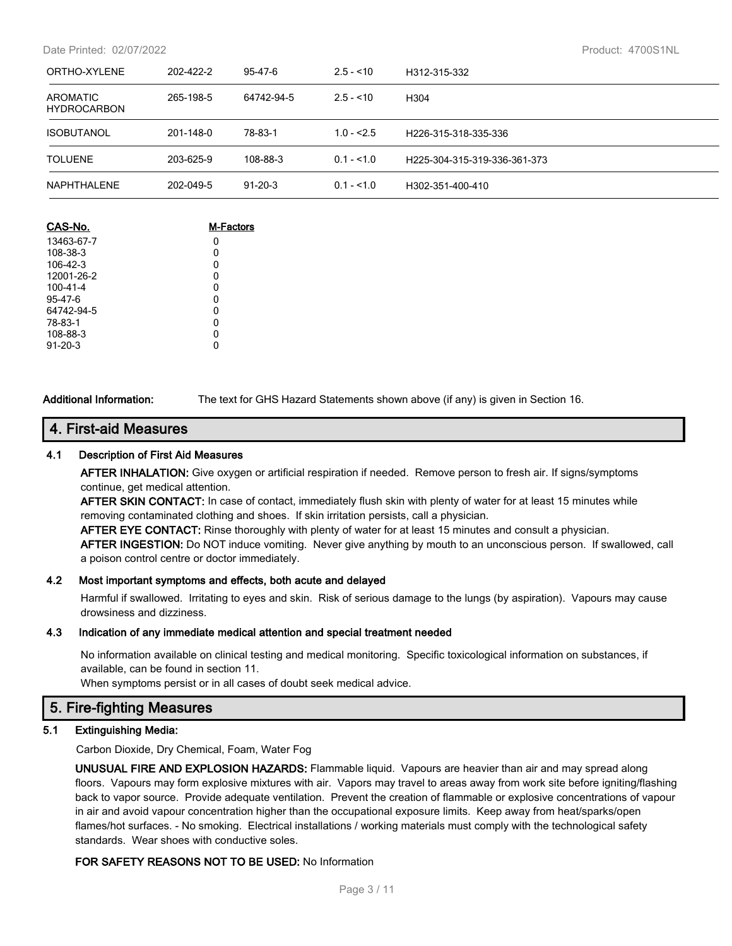Date Printed: 02/07/2022 Product: 4700S1NL

| ORTHO-XYLENE                   | 202-422-2 | 95-47-6       | $2.5 - 10$  | H312-315-332                 |  |
|--------------------------------|-----------|---------------|-------------|------------------------------|--|
| AROMATIC<br><b>HYDROCARBON</b> | 265-198-5 | 64742-94-5    | $2.5 - 10$  | H <sub>304</sub>             |  |
| <b>ISOBUTANOL</b>              | 201-148-0 | 78-83-1       | $1.0 - 2.5$ | H226-315-318-335-336         |  |
| <b>TOLUENE</b>                 | 203-625-9 | 108-88-3      | $0.1 - 1.0$ | H225-304-315-319-336-361-373 |  |
| NAPHTHALENE                    | 202-049-5 | $91 - 20 - 3$ | $0.1 - 1.0$ | H302-351-400-410             |  |

| CAS-No.       | M-Factors |
|---------------|-----------|
| 13463-67-7    | 0         |
| 108-38-3      | 0         |
| 106-42-3      | 0         |
| 12001-26-2    | 0         |
| 100-41-4      | 0         |
| 95-47-6       | 0         |
| 64742-94-5    | 0         |
| 78-83-1       | 0         |
| 108-88-3      | 0         |
| $91 - 20 - 3$ |           |

**Additional Information:** The text for GHS Hazard Statements shown above (if any) is given in Section 16.

## **4. First-aid Measures**

## **4.1 Description of First Aid Measures**

**AFTER INHALATION:** Give oxygen or artificial respiration if needed. Remove person to fresh air. If signs/symptoms continue, get medical attention.

**AFTER SKIN CONTACT:** In case of contact, immediately flush skin with plenty of water for at least 15 minutes while removing contaminated clothing and shoes. If skin irritation persists, call a physician.

**AFTER EYE CONTACT:** Rinse thoroughly with plenty of water for at least 15 minutes and consult a physician. **AFTER INGESTION:** Do NOT induce vomiting. Never give anything by mouth to an unconscious person. If swallowed, call a poison control centre or doctor immediately.

## **4.2 Most important symptoms and effects, both acute and delayed**

Harmful if swallowed. Irritating to eyes and skin. Risk of serious damage to the lungs (by aspiration). Vapours may cause drowsiness and dizziness.

#### **4.3 Indication of any immediate medical attention and special treatment needed**

No information available on clinical testing and medical monitoring. Specific toxicological information on substances, if available, can be found in section 11.

When symptoms persist or in all cases of doubt seek medical advice.

## **5. Fire-fighting Measures**

#### **5.1 Extinguishing Media:**

Carbon Dioxide, Dry Chemical, Foam, Water Fog

**UNUSUAL FIRE AND EXPLOSION HAZARDS:** Flammable liquid. Vapours are heavier than air and may spread along floors. Vapours may form explosive mixtures with air. Vapors may travel to areas away from work site before igniting/flashing back to vapor source. Provide adequate ventilation. Prevent the creation of flammable or explosive concentrations of vapour in air and avoid vapour concentration higher than the occupational exposure limits. Keep away from heat/sparks/open flames/hot surfaces. - No smoking. Electrical installations / working materials must comply with the technological safety standards. Wear shoes with conductive soles.

## **FOR SAFETY REASONS NOT TO BE USED:** No Information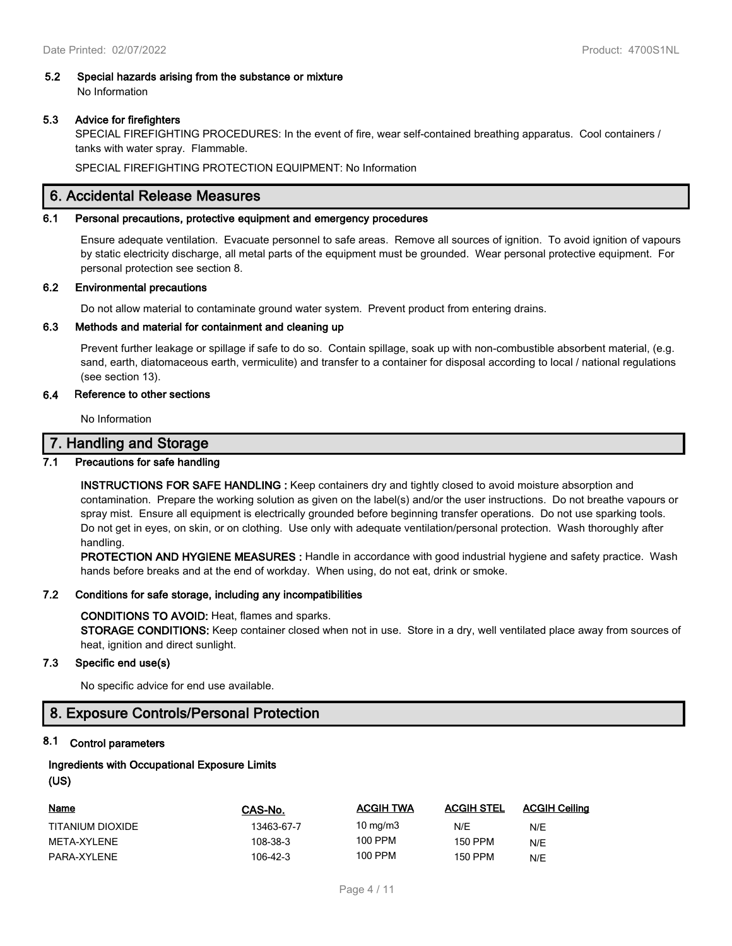# **5.2 Special hazards arising from the substance or mixture**

No Information

## **5.3 Advice for firefighters**

SPECIAL FIREFIGHTING PROCEDURES: In the event of fire, wear self-contained breathing apparatus. Cool containers / tanks with water spray. Flammable.

SPECIAL FIREFIGHTING PROTECTION EQUIPMENT: No Information

## **6. Accidental Release Measures**

#### **6.1 Personal precautions, protective equipment and emergency procedures**

Ensure adequate ventilation. Evacuate personnel to safe areas. Remove all sources of ignition. To avoid ignition of vapours by static electricity discharge, all metal parts of the equipment must be grounded. Wear personal protective equipment. For personal protection see section 8.

## **6.2 Environmental precautions**

Do not allow material to contaminate ground water system. Prevent product from entering drains.

## **6.3 Methods and material for containment and cleaning up**

Prevent further leakage or spillage if safe to do so. Contain spillage, soak up with non-combustible absorbent material, (e.g. sand, earth, diatomaceous earth, vermiculite) and transfer to a container for disposal according to local / national regulations (see section 13).

## **6.4 Reference to other sections**

No Information

## **7. Handling and Storage**

## **7.1 Precautions for safe handling**

**INSTRUCTIONS FOR SAFE HANDLING :** Keep containers dry and tightly closed to avoid moisture absorption and contamination. Prepare the working solution as given on the label(s) and/or the user instructions. Do not breathe vapours or spray mist. Ensure all equipment is electrically grounded before beginning transfer operations. Do not use sparking tools. Do not get in eyes, on skin, or on clothing. Use only with adequate ventilation/personal protection. Wash thoroughly after handling.

**PROTECTION AND HYGIENE MEASURES :** Handle in accordance with good industrial hygiene and safety practice. Wash hands before breaks and at the end of workday. When using, do not eat, drink or smoke.

#### **7.2 Conditions for safe storage, including any incompatibilities**

#### **CONDITIONS TO AVOID:** Heat, flames and sparks.

**STORAGE CONDITIONS:** Keep container closed when not in use. Store in a dry, well ventilated place away from sources of heat, ignition and direct sunlight.

## **7.3 Specific end use(s)**

No specific advice for end use available.

## **8. Exposure Controls/Personal Protection**

## **8.1 Control parameters**

## **Ingredients with Occupational Exposure Limits (US)**

| <u>Name</u>      | CAS-No.    | <b>ACGIH TWA</b> | <b>ACGIH STEL</b> | <b>ACGIH Ceiling</b> |
|------------------|------------|------------------|-------------------|----------------------|
| TITANIUM DIOXIDE | 13463-67-7 | 10 $mq/m3$       | N/E               | N/E                  |
| META-XYLENE      | 108-38-3   | 100 PPM          | 150 PPM           | N/E                  |
| PARA-XYI FNF     | 106-42-3   | 100 PPM          | 150 PPM           | N/E                  |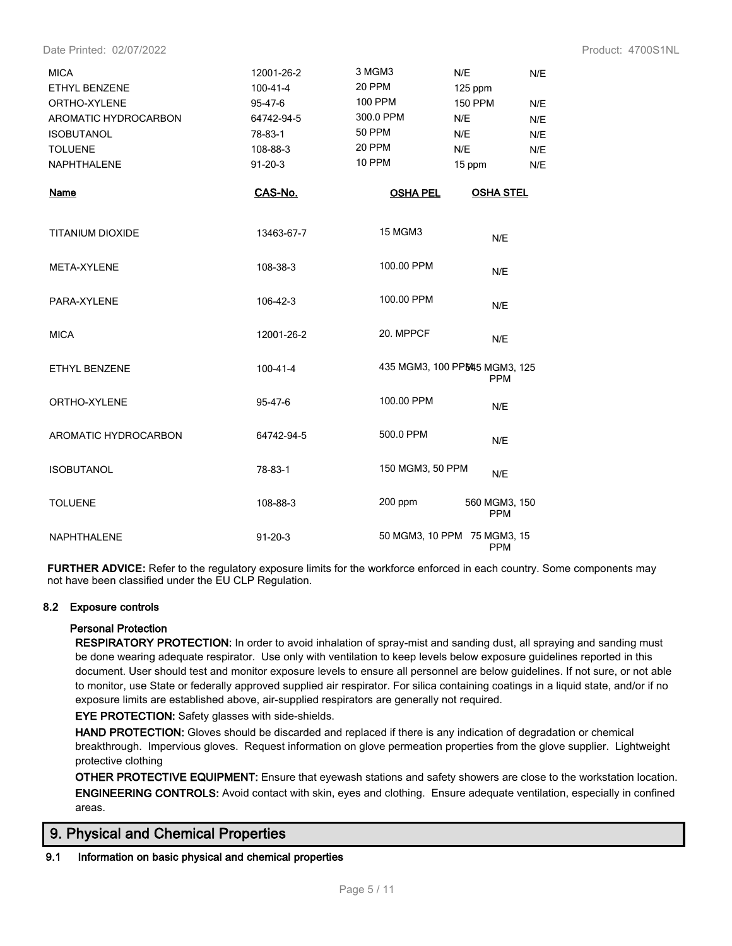Date Printed: 02/07/2022 Product: 4700S1NL

| <b>MICA</b><br>ETHYL BENZENE<br>ORTHO-XYLENE | 12001-26-2<br>$100 - 41 - 4$<br>95-47-6 | 3 MGM3<br>20 PPM<br><b>100 PPM</b> | N/E<br>125 ppm<br><b>150 PPM</b>             | N/E<br>N/E |
|----------------------------------------------|-----------------------------------------|------------------------------------|----------------------------------------------|------------|
| AROMATIC HYDROCARBON                         | 64742-94-5                              | 300.0 PPM                          | N/E                                          | N/E        |
| <b>ISOBUTANOL</b>                            | 78-83-1                                 | <b>50 PPM</b>                      | N/E                                          | N/E        |
| <b>TOLUENE</b>                               | 108-88-3                                | 20 PPM                             | N/E                                          | N/E        |
| <b>NAPHTHALENE</b>                           | $91 - 20 - 3$                           | 10 PPM                             | 15 ppm                                       | N/E        |
| <b>Name</b>                                  | CAS-No.                                 | <b>OSHA PEL</b>                    | <b>OSHA STEL</b>                             |            |
| <b>TITANIUM DIOXIDE</b>                      | 13463-67-7                              | <b>15 MGM3</b>                     | N/E                                          |            |
| META-XYLENE                                  | 108-38-3                                | 100.00 PPM                         | N/E                                          |            |
| PARA-XYLENE                                  | 106-42-3                                | 100.00 PPM                         | N/E                                          |            |
| <b>MICA</b>                                  | 12001-26-2                              | 20. MPPCF                          | N/E                                          |            |
| ETHYL BENZENE                                | $100 - 41 - 4$                          |                                    | 435 MGM3, 100 PP5445 MGM3, 125<br><b>PPM</b> |            |
| ORTHO-XYLENE                                 | 95-47-6                                 | 100.00 PPM                         | N/E                                          |            |
| AROMATIC HYDROCARBON                         | 64742-94-5                              | 500.0 PPM                          | N/E                                          |            |
| <b>ISOBUTANOL</b>                            | 78-83-1                                 | 150 MGM3, 50 PPM                   | N/E                                          |            |
| <b>TOLUENE</b>                               | 108-88-3                                | 200 ppm                            | 560 MGM3, 150<br><b>PPM</b>                  |            |
| <b>NAPHTHALENE</b>                           | $91 - 20 - 3$                           |                                    | 50 MGM3, 10 PPM 75 MGM3, 15<br><b>PPM</b>    |            |

**FURTHER ADVICE:** Refer to the regulatory exposure limits for the workforce enforced in each country. Some components may not have been classified under the EU CLP Regulation.

## **8.2 Exposure controls**

#### **Personal Protection**

**RESPIRATORY PROTECTION:** In order to avoid inhalation of spray-mist and sanding dust, all spraying and sanding must be done wearing adequate respirator. Use only with ventilation to keep levels below exposure guidelines reported in this document. User should test and monitor exposure levels to ensure all personnel are below guidelines. If not sure, or not able to monitor, use State or federally approved supplied air respirator. For silica containing coatings in a liquid state, and/or if no exposure limits are established above, air-supplied respirators are generally not required.

**EYE PROTECTION:** Safety glasses with side-shields.

**HAND PROTECTION:** Gloves should be discarded and replaced if there is any indication of degradation or chemical breakthrough. Impervious gloves. Request information on glove permeation properties from the glove supplier. Lightweight protective clothing

**OTHER PROTECTIVE EQUIPMENT:** Ensure that eyewash stations and safety showers are close to the workstation location. **ENGINEERING CONTROLS:** Avoid contact with skin, eyes and clothing. Ensure adequate ventilation, especially in confined areas.

## **9. Physical and Chemical Properties**

## **9.1 Information on basic physical and chemical properties**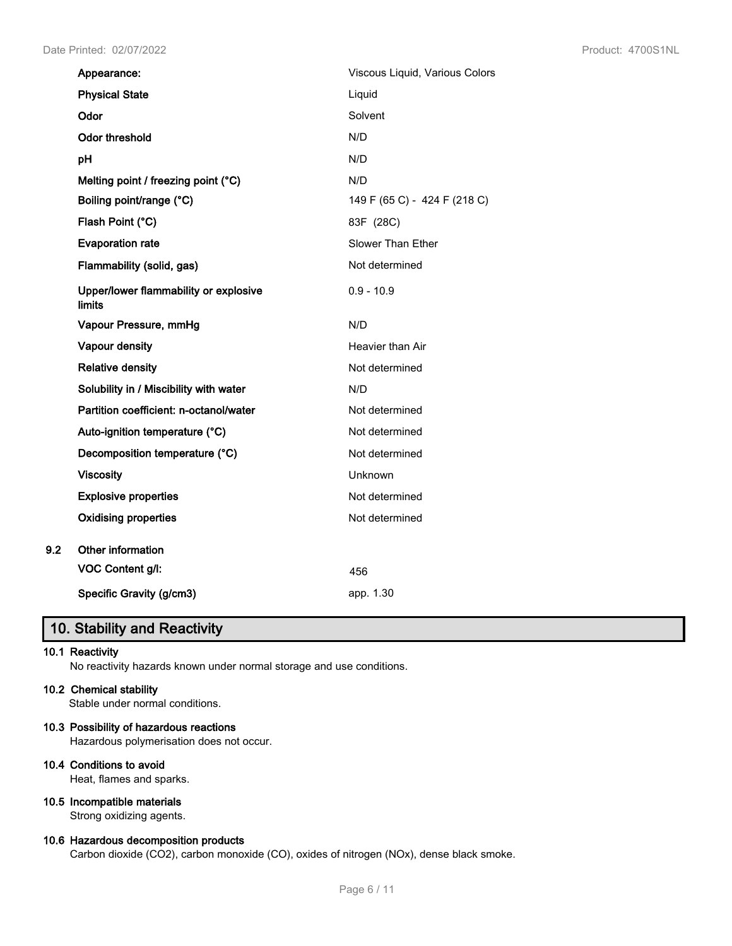| Appearance:                                     | Viscous Liquid, Various Colors |
|-------------------------------------------------|--------------------------------|
| <b>Physical State</b>                           | Liquid                         |
| Odor                                            | Solvent                        |
| Odor threshold                                  | N/D                            |
| pH                                              | N/D                            |
| Melting point / freezing point (°C)             | N/D                            |
| Boiling point/range (°C)                        | 149 F (65 C) - 424 F (218 C)   |
| Flash Point (°C)                                | 83F (28C)                      |
| <b>Evaporation rate</b>                         | Slower Than Ether              |
| Flammability (solid, gas)                       | Not determined                 |
| Upper/lower flammability or explosive<br>limits | $0.9 - 10.9$                   |
| Vapour Pressure, mmHg                           | N/D                            |
| Vapour density                                  | Heavier than Air               |
| <b>Relative density</b>                         | Not determined                 |
| Solubility in / Miscibility with water          | N/D                            |
| Partition coefficient: n-octanol/water          | Not determined                 |
| Auto-ignition temperature (°C)                  | Not determined                 |
| Decomposition temperature (°C)                  | Not determined                 |
| <b>Viscosity</b>                                | Unknown                        |
| <b>Explosive properties</b>                     | Not determined                 |
| <b>Oxidising properties</b>                     | Not determined                 |
| Other information                               |                                |
| VOC Content g/l:                                | 456                            |
| Specific Gravity (g/cm3)                        | app. 1.30                      |

# **10. Stability and Reactivity**

## **10.1 Reactivity**

**9.2** 

No reactivity hazards known under normal storage and use conditions.

## **10.2 Chemical stability**

Stable under normal conditions.

## **10.3 Possibility of hazardous reactions**

Hazardous polymerisation does not occur.

## **10.4 Conditions to avoid**

Heat, flames and sparks.

## **10.5 Incompatible materials**

Strong oxidizing agents.

## **10.6 Hazardous decomposition products**

Carbon dioxide (CO2), carbon monoxide (CO), oxides of nitrogen (NOx), dense black smoke.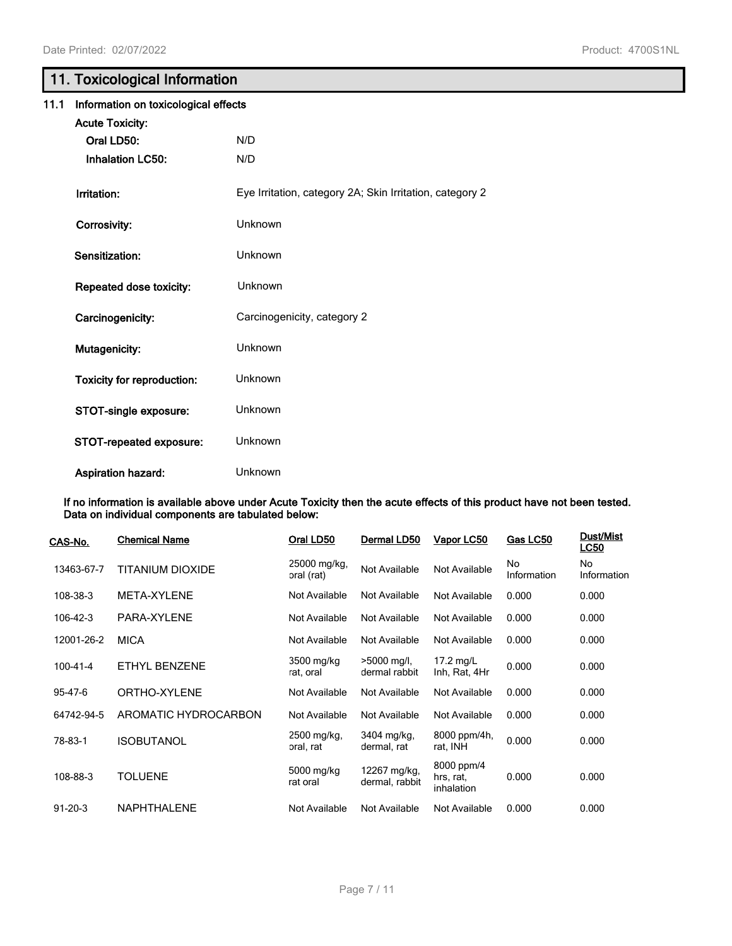# **11. Toxicological Information**

| 11.1 | Information on toxicological effects |                                                          |  |  |
|------|--------------------------------------|----------------------------------------------------------|--|--|
|      | <b>Acute Toxicity:</b>               |                                                          |  |  |
|      | Oral LD50:                           | N/D                                                      |  |  |
|      | <b>Inhalation LC50:</b>              | N/D                                                      |  |  |
|      | Irritation:                          | Eye Irritation, category 2A; Skin Irritation, category 2 |  |  |
|      | Corrosivity:                         | Unknown                                                  |  |  |
|      | Sensitization:                       | Unknown                                                  |  |  |
|      | Repeated dose toxicity:              | Unknown                                                  |  |  |
|      | Carcinogenicity:                     | Carcinogenicity, category 2                              |  |  |
|      | Mutagenicity:                        | Unknown                                                  |  |  |
|      | Toxicity for reproduction:           | Unknown                                                  |  |  |
|      | STOT-single exposure:                | Unknown                                                  |  |  |
|      | STOT-repeated exposure:              | Unknown                                                  |  |  |
|      | <b>Aspiration hazard:</b>            | Unknown                                                  |  |  |

**If no information is available above under Acute Toxicity then the acute effects of this product have not been tested. Data on individual components are tabulated below:**

| CAS-No.        | <b>Chemical Name</b> | Oral LD50                  | Dermal LD50                    | Vapor LC50                            | Gas LC50          | Dust/Mist<br><b>LC50</b> |
|----------------|----------------------|----------------------------|--------------------------------|---------------------------------------|-------------------|--------------------------|
| 13463-67-7     | TITANIUM DIOXIDE     | 25000 mg/kg,<br>oral (rat) | Not Available                  | Not Available                         | No<br>Information | No<br>Information        |
| 108-38-3       | META-XYLENE          | Not Available              | Not Available                  | Not Available                         | 0.000             | 0.000                    |
| 106-42-3       | PARA-XYLENE          | Not Available              | Not Available                  | Not Available                         | 0.000             | 0.000                    |
| 12001-26-2     | <b>MICA</b>          | Not Available              | Not Available                  | Not Available                         | 0.000             | 0.000                    |
| $100 - 41 - 4$ | ETHYL BENZENE        | 3500 mg/kg<br>rat, oral    | >5000 mg/l,<br>dermal rabbit   | $17.2$ mg/L<br>Inh, Rat, 4Hr          | 0.000             | 0.000                    |
| 95-47-6        | ORTHO-XYLENE         | Not Available              | Not Available                  | Not Available                         | 0.000             | 0.000                    |
| 64742-94-5     | AROMATIC HYDROCARBON | Not Available              | Not Available                  | Not Available                         | 0.000             | 0.000                    |
| 78-83-1        | <b>ISOBUTANOL</b>    | 2500 mg/kg,<br>oral, rat   | 3404 mg/kg,<br>dermal, rat     | 8000 ppm/4h,<br>rat, INH              | 0.000             | 0.000                    |
| 108-88-3       | <b>TOLUENE</b>       | 5000 mg/kg<br>rat oral     | 12267 mg/kg,<br>dermal, rabbit | 8000 ppm/4<br>hrs, rat,<br>inhalation | 0.000             | 0.000                    |
| $91 - 20 - 3$  | <b>NAPHTHALENE</b>   | Not Available              | Not Available                  | Not Available                         | 0.000             | 0.000                    |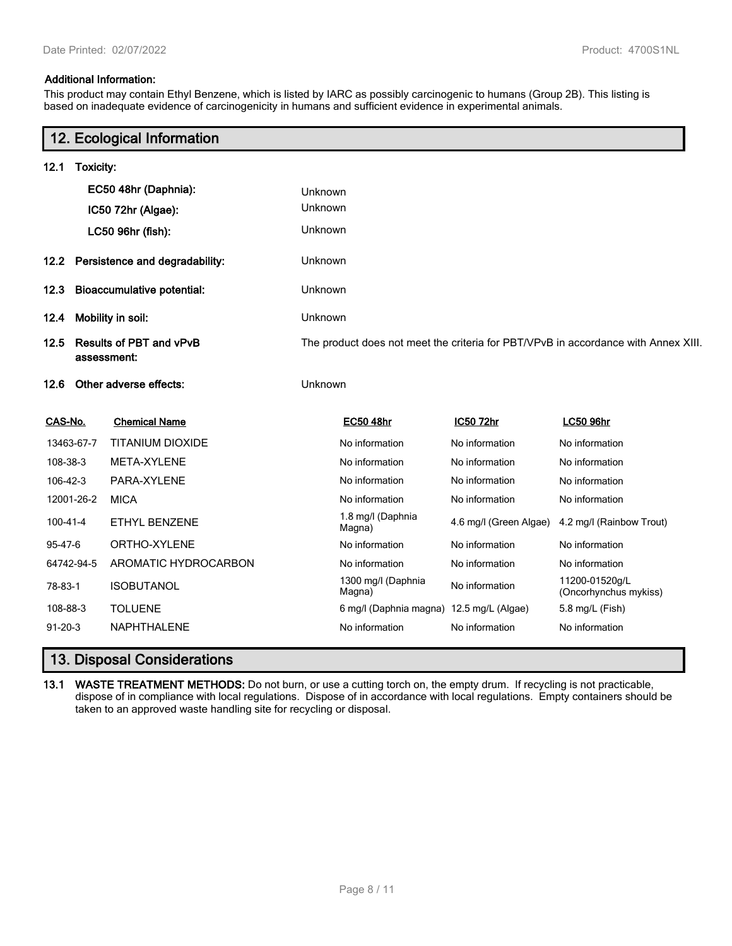## **Additional Information:**

This product may contain Ethyl Benzene, which is listed by IARC as possibly carcinogenic to humans (Group 2B). This listing is based on inadequate evidence of carcinogenicity in humans and sufficient evidence in experimental animals.

|                                           |                                        | 12. Ecological Information |         |                                                                                    |                        |                                         |  |
|-------------------------------------------|----------------------------------------|----------------------------|---------|------------------------------------------------------------------------------------|------------------------|-----------------------------------------|--|
| 12.1                                      | Toxicity:                              |                            |         |                                                                                    |                        |                                         |  |
|                                           |                                        | EC50 48hr (Daphnia):       | Unknown |                                                                                    |                        |                                         |  |
|                                           |                                        | IC50 72hr (Algae):         | Unknown |                                                                                    |                        |                                         |  |
|                                           |                                        | LC50 96hr (fish):          | Unknown |                                                                                    |                        |                                         |  |
|                                           | 12.2 Persistence and degradability:    |                            | Unknown |                                                                                    |                        |                                         |  |
| 12.3<br><b>Bioaccumulative potential:</b> |                                        | Unknown                    |         |                                                                                    |                        |                                         |  |
| 12.4                                      | Mobility in soil:                      |                            | Unknown |                                                                                    |                        |                                         |  |
| 12.5                                      | Results of PBT and vPvB<br>assessment: |                            |         | The product does not meet the criteria for PBT/VPvB in accordance with Annex XIII. |                        |                                         |  |
| 12.6                                      |                                        | Other adverse effects:     | Unknown |                                                                                    |                        |                                         |  |
| CAS-No.                                   |                                        | <b>Chemical Name</b>       |         | <b>EC50 48hr</b>                                                                   | IC50 72hr              | <b>LC50 96hr</b>                        |  |
|                                           | 13463-67-7                             | <b>TITANIUM DIOXIDE</b>    |         | No information                                                                     | No information         | No information                          |  |
| 108-38-3                                  |                                        | META-XYLENE                |         | No information                                                                     | No information         | No information                          |  |
| 106-42-3                                  |                                        | PARA-XYLENE                |         | No information                                                                     | No information         | No information                          |  |
|                                           | 12001-26-2                             | <b>MICA</b>                |         | No information                                                                     | No information         | No information                          |  |
| $100 - 41 - 4$                            |                                        | <b>ETHYL BENZENE</b>       |         | 1.8 mg/l (Daphnia<br>Magna)                                                        | 4.6 mg/l (Green Algae) | 4.2 mg/l (Rainbow Trout)                |  |
| 95-47-6                                   |                                        | ORTHO-XYLENE               |         | No information                                                                     | No information         | No information                          |  |
|                                           | 64742-94-5                             | AROMATIC HYDROCARBON       |         | No information                                                                     | No information         | No information                          |  |
| 78-83-1                                   |                                        | <b>ISOBUTANOL</b>          |         | 1300 mg/l (Daphnia<br>Magna)                                                       | No information         | 11200-01520g/L<br>(Oncorhynchus mykiss) |  |
| 108-88-3                                  |                                        | <b>TOLUENE</b>             |         | 6 mg/l (Daphnia magna)                                                             | 12.5 mg/L (Algae)      | 5.8 mg/L (Fish)                         |  |
| $91 - 20 - 3$                             |                                        | <b>NAPHTHALENE</b>         |         | No information                                                                     | No information         | No information                          |  |

# **13. Disposal Considerations**

**13.1 WASTE TREATMENT METHODS:** Do not burn, or use a cutting torch on, the empty drum. If recycling is not practicable, dispose of in compliance with local regulations. Dispose of in accordance with local regulations. Empty containers should be taken to an approved waste handling site for recycling or disposal.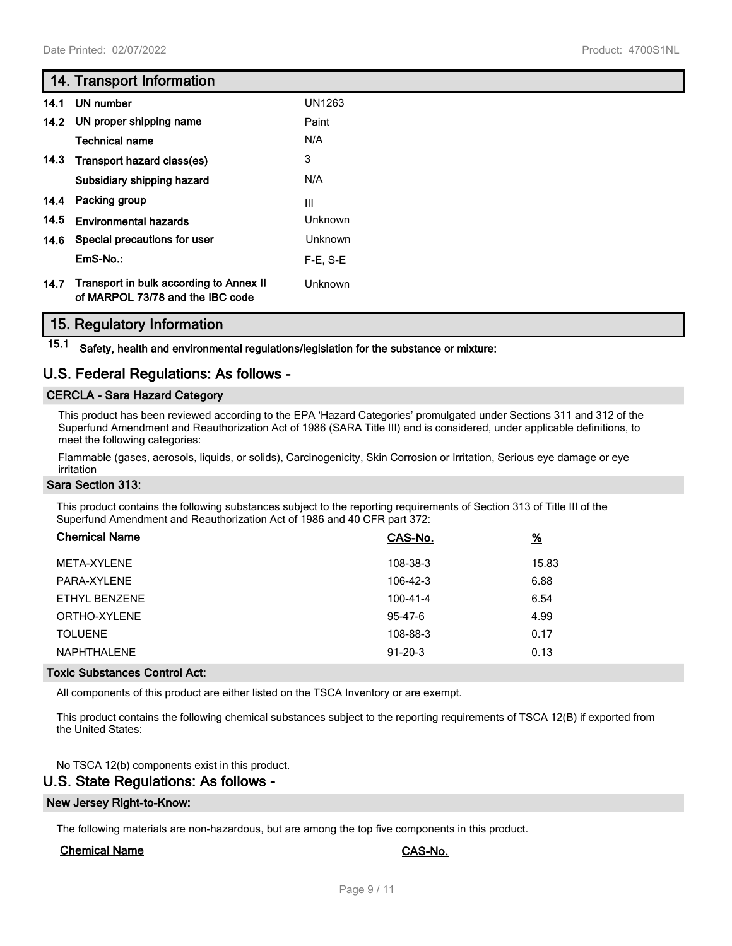## **14. Transport Information**

| 14.1 | UN number                                                                   | <b>UN1263</b>  |
|------|-----------------------------------------------------------------------------|----------------|
|      | 14.2 UN proper shipping name                                                | Paint          |
|      | <b>Technical name</b>                                                       | N/A            |
| 14.3 | Transport hazard class(es)                                                  | 3              |
|      | Subsidiary shipping hazard                                                  | N/A            |
|      | 14.4 Packing group                                                          | Ш              |
| 14.5 | <b>Environmental hazards</b>                                                | Unknown        |
| 14.6 | Special precautions for user                                                | <b>Unknown</b> |
|      | EmS-No.:                                                                    | $F-E$ , S-E    |
| 14.7 | Transport in bulk according to Annex II<br>of MARPOL 73/78 and the IBC code | <b>Unknown</b> |

## **15. Regulatory Information**

**15.1 Safety, health and environmental regulations/legislation for the substance or mixture:**

## **U.S. Federal Regulations: As follows -**

## **CERCLA - Sara Hazard Category**

This product has been reviewed according to the EPA 'Hazard Categories' promulgated under Sections 311 and 312 of the Superfund Amendment and Reauthorization Act of 1986 (SARA Title III) and is considered, under applicable definitions, to meet the following categories:

Flammable (gases, aerosols, liquids, or solids), Carcinogenicity, Skin Corrosion or Irritation, Serious eye damage or eye irritation

#### **Sara Section 313:**

This product contains the following substances subject to the reporting requirements of Section 313 of Title III of the Superfund Amendment and Reauthorization Act of 1986 and 40 CFR part 372:

| <b>Chemical Name</b> | CAS-No.       | $\frac{9}{6}$ |
|----------------------|---------------|---------------|
| META-XYLENE          | 108-38-3      | 15.83         |
| PARA-XYLENE          | 106-42-3      | 6.88          |
| ETHYL BENZENE        | 100-41-4      | 6.54          |
| ORTHO-XYLENE         | 95-47-6       | 4.99          |
| <b>TOLUENE</b>       | 108-88-3      | 0.17          |
| <b>NAPHTHALENE</b>   | $91 - 20 - 3$ | 0.13          |

#### **Toxic Substances Control Act:**

All components of this product are either listed on the TSCA Inventory or are exempt.

This product contains the following chemical substances subject to the reporting requirements of TSCA 12(B) if exported from the United States:

No TSCA 12(b) components exist in this product.

## **U.S. State Regulations: As follows -**

#### **New Jersey Right-to-Know:**

The following materials are non-hazardous, but are among the top five components in this product.

## **Chemical Name CAS-No.**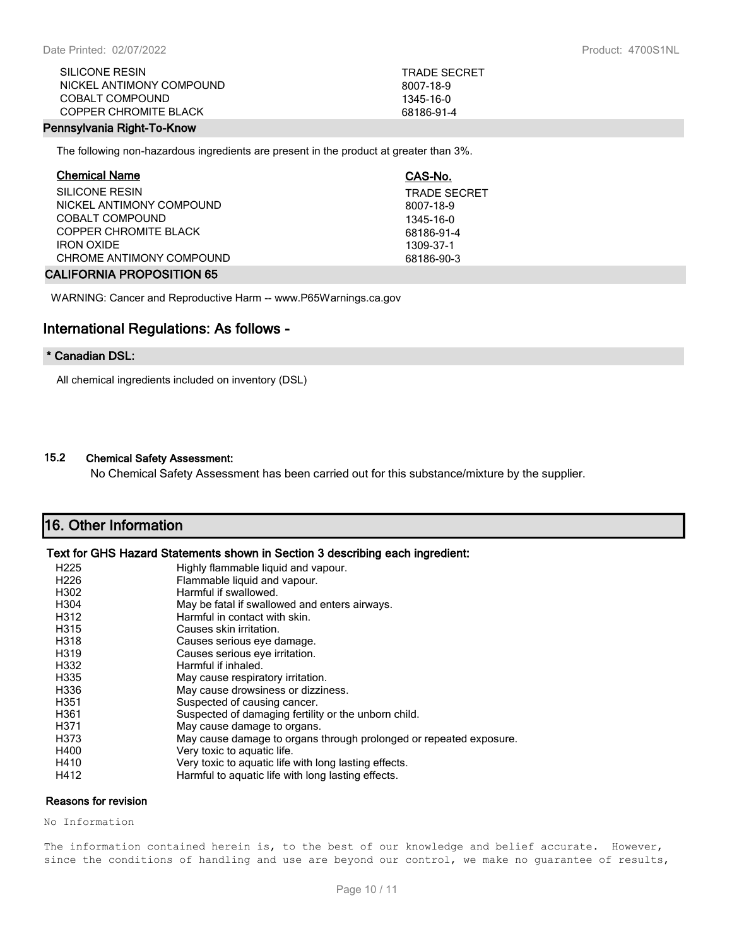| SILICONE RESIN             | <b>TRADE SECRET</b> |
|----------------------------|---------------------|
| NICKEL ANTIMONY COMPOUND   | 8007-18-9           |
| COBALT COMPOUND            | 1345-16-0           |
| COPPER CHROMITE BI ACK     | 68186-91-4          |
| annachanaig Diebt Ta Koacc |                     |

## **Pennsylvania Right-To-Know**

The following non-hazardous ingredients are present in the product at greater than 3%.

| <b>Chemical Name</b>     | CAS-No.             |
|--------------------------|---------------------|
| SILICONE RESIN           | <b>TRADE SECRET</b> |
| NICKEL ANTIMONY COMPOUND | 8007-18-9           |
| COBALT COMPOUND          | 1345-16-0           |
| COPPER CHROMITE BLACK    | 68186-91-4          |
| <b>IRON OXIDE</b>        | 1309-37-1           |
| CHROME ANTIMONY COMPOUND | 68186-90-3          |
| 111150 MH DRODOOTION OF  |                     |

#### **CALIFORNIA PROPOSITION 65**

WARNING: Cancer and Reproductive Harm -- www.P65Warnings.ca.gov

## **International Regulations: As follows -**

## **\* Canadian DSL:**

All chemical ingredients included on inventory (DSL)

#### **15.2 Chemical Safety Assessment:**

No Chemical Safety Assessment has been carried out for this substance/mixture by the supplier.

# **16. Other Information**

## **Text for GHS Hazard Statements shown in Section 3 describing each ingredient:**

| H <sub>225</sub> | Highly flammable liquid and vapour.                                |
|------------------|--------------------------------------------------------------------|
| H <sub>226</sub> | Flammable liquid and vapour.                                       |
| H302             | Harmful if swallowed.                                              |
| H304             | May be fatal if swallowed and enters airways.                      |
| H312             | Harmful in contact with skin.                                      |
| H315             | Causes skin irritation.                                            |
| H318             | Causes serious eye damage.                                         |
| H319             | Causes serious eye irritation.                                     |
| H332             | Harmful if inhaled.                                                |
| H335             | May cause respiratory irritation.                                  |
| H336             | May cause drowsiness or dizziness.                                 |
| H351             | Suspected of causing cancer.                                       |
| H361             | Suspected of damaging fertility or the unborn child.               |
| H371             | May cause damage to organs.                                        |
| H373             | May cause damage to organs through prolonged or repeated exposure. |
| H400             | Very toxic to aquatic life.                                        |
| H410             | Very toxic to aquatic life with long lasting effects.              |
| H412             | Harmful to aquatic life with long lasting effects.                 |

#### **Reasons for revision**

No Information

The information contained herein is, to the best of our knowledge and belief accurate. However, since the conditions of handling and use are beyond our control, we make no guarantee of results,